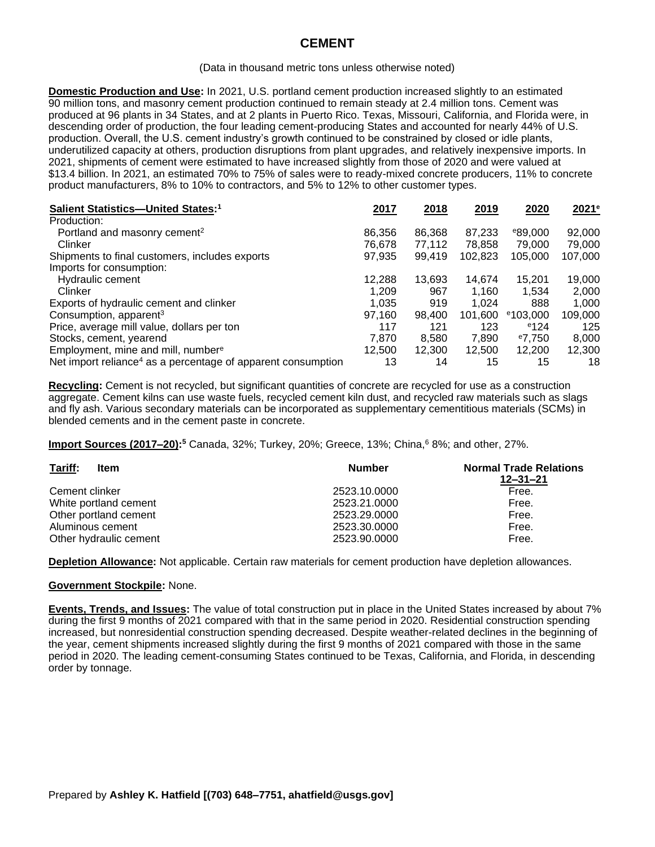# **CEMENT**

#### (Data in thousand metric tons unless otherwise noted)

**Domestic Production and Use:** In 2021, U.S. portland cement production increased slightly to an estimated 90 million tons, and masonry cement production continued to remain steady at 2.4 million tons. Cement was produced at 96 plants in 34 States, and at 2 plants in Puerto Rico. Texas, Missouri, California, and Florida were, in descending order of production, the four leading cement-producing States and accounted for nearly 44% of U.S. production. Overall, the U.S. cement industry's growth continued to be constrained by closed or idle plants, underutilized capacity at others, production disruptions from plant upgrades, and relatively inexpensive imports. In 2021, shipments of cement were estimated to have increased slightly from those of 2020 and were valued at \$13.4 billion. In 2021, an estimated 70% to 75% of sales were to ready-mixed concrete producers, 11% to concrete product manufacturers, 8% to 10% to contractors, and 5% to 12% to other customer types.

| Salient Statistics-United States: <sup>1</sup>                           | 2017   | 2018   | 2019    | 2020                | 2021 <sup>e</sup> |
|--------------------------------------------------------------------------|--------|--------|---------|---------------------|-------------------|
| Production:                                                              |        |        |         |                     |                   |
| Portland and masonry cement <sup>2</sup>                                 | 86,356 | 86,368 | 87.233  | <sup>e</sup> 89,000 | 92,000            |
| Clinker                                                                  | 76,678 | 77.112 | 78.858  | 79,000              | 79,000            |
| Shipments to final customers, includes exports                           | 97,935 | 99,419 | 102,823 | 105,000             | 107,000           |
| Imports for consumption:                                                 |        |        |         |                     |                   |
| Hydraulic cement                                                         | 12,288 | 13,693 | 14,674  | 15,201              | 19,000            |
| Clinker                                                                  | 1,209  | 967    | 1,160   | 1,534               | 2,000             |
| Exports of hydraulic cement and clinker                                  | 1,035  | 919    | 1.024   | 888                 | 1,000             |
| Consumption, apparent <sup>3</sup>                                       | 97,160 | 98,400 | 101.600 | $e$ 103,000         | 109,000           |
| Price, average mill value, dollars per ton                               | 117    | 121    | 123     | e124                | 125               |
| Stocks, cement, yearend                                                  | 7.870  | 8.580  | 7.890   | $^{\circ}7.750$     | 8,000             |
| Employment, mine and mill, number <sup>e</sup>                           | 12.500 | 12.300 | 12,500  | 12.200              | 12,300            |
| Net import reliance <sup>4</sup> as a percentage of apparent consumption | 13     | 14     | 15      | 15                  | 18                |

**Recycling:** Cement is not recycled, but significant quantities of concrete are recycled for use as a construction aggregate. Cement kilns can use waste fuels, recycled cement kiln dust, and recycled raw materials such as slags and fly ash. Various secondary materials can be incorporated as supplementary cementitious materials (SCMs) in blended cements and in the cement paste in concrete.

Import Sources (2017–20):<sup>5</sup> Canada, 32%; Turkey, 20%; Greece, 13%; China,<sup>6</sup> 8%; and other, 27%.

| Tariff:<br><b>Item</b> | <b>Number</b> | <b>Normal Trade Relations</b><br>$12 - 31 - 21$ |  |  |
|------------------------|---------------|-------------------------------------------------|--|--|
| Cement clinker         | 2523.10.0000  | Free.                                           |  |  |
| White portland cement  | 2523.21.0000  | Free.                                           |  |  |
| Other portland cement  | 2523.29.0000  | Free.                                           |  |  |
| Aluminous cement       | 2523.30.0000  | Free.                                           |  |  |
| Other hydraulic cement | 2523.90.0000  | Free.                                           |  |  |

**Depletion Allowance:** Not applicable. Certain raw materials for cement production have depletion allowances.

### **Government Stockpile:** None.

**Events, Trends, and Issues:** The value of total construction put in place in the United States increased by about 7% during the first 9 months of 2021 compared with that in the same period in 2020. Residential construction spending increased, but nonresidential construction spending decreased. Despite weather-related declines in the beginning of the year, cement shipments increased slightly during the first 9 months of 2021 compared with those in the same period in 2020. The leading cement-consuming States continued to be Texas, California, and Florida, in descending order by tonnage.